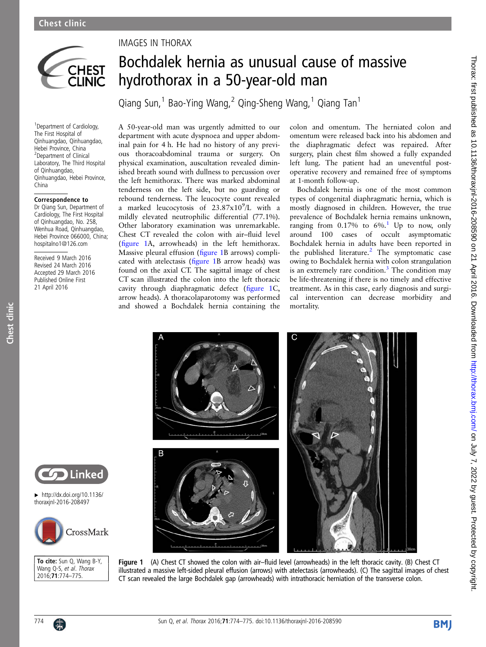

<sup>1</sup> Department of Cardiology, The First Hospital of Qinhuangdao, Qinhuangdao, Hebei Province, China 2 Department of Clinical Laboratory, The Third Hospital of Qinhuangdao, Qinhuangdao, Hebei Province, China

## Correspondence to

Dr Qiang Sun, Department of Cardiology, The First Hospital of Qinhuangdao, No. 258, Wenhua Road, Oinhuangdao, Hebei Province 066000, China; hospitalno1@126.com

Received 9 March 2016 Revised 24 March 2016 Accepted 29 March 2016 Published Online First 21 April 2016

Chest clinic

Chest clinic

## IMAGES IN THORAX

## Bochdalek hernia as unusual cause of massive hydrothorax in a 50-year-old man

Qiang Sun,<sup>1</sup> Bao-Ying Wang,<sup>2</sup> Qing-Sheng Wang,<sup>1</sup> Qiang Tan<sup>1</sup>

A 50-year-old man was urgently admitted to our department with acute dyspnoea and upper abdominal pain for 4 h. He had no history of any previous thoracoabdominal trauma or surgery. On physical examination, auscultation revealed diminished breath sound with dullness to percussion over the left hemithorax. There was marked abdominal tenderness on the left side, but no guarding or rebound tenderness. The leucocyte count revealed a marked leucocytosis of  $23.87 \times 10^9$ /L with a mildly elevated neutrophilic differential (77.1%). Other laboratory examination was unremarkable. Chest CT revealed the colon with air–fluid level (figure 1A, arrowheads) in the left hemithorax. Massive pleural effusion (figure 1B arrows) complicated with atelectasis (figure 1B arrow heads) was found on the axial CT. The sagittal image of chest CT scan illustrated the colon into the left thoracic cavity through diaphragmatic defect (figure 1C, arrow heads). A thoracolaparotomy was performed and showed a Bochdalek hernia containing the

colon and omentum. The herniated colon and omentum were released back into his abdomen and the diaphragmatic defect was repaired. After surgery, plain chest film showed a fully expanded left lung. The patient had an uneventful postoperative recovery and remained free of symptoms at 1-month follow-up.

Bochdalek hernia is one of the most common types of congenital diaphragmatic hernia, which is mostly diagnosed in children. However, the true prevalence of Bochdalek hernia remains unknown, ranging from  $0.17\%$  $0.17\%$  $0.17\%$  to  $6\%$ <sup>1</sup>. Up to now, only around 100 cases of occult asymptomatic Bochdalek hernia in adults have been reported in the published literature.<sup>[2](#page-1-0)</sup> The symptomatic case owing to Bochdalek hernia with colon strangulation is an extremely rare condition.<sup>3</sup> The condition may be life-threatening if there is no timely and effective treatment. As in this case, early diagnosis and surgical intervention can decrease morbidity and mortality.



Figure 1 (A) Chest CT showed the colon with air–fluid level (arrowheads) in the left thoracic cavity. (B) Chest CT illustrated a massive left-sided pleural effusion (arrows) with atelectasis (arrowheads). (C) The sagittal images of chest CT scan revealed the large Bochdalek gap (arrowheads) with intrathoracic herniation of the transverse colon.

**BMI** 



▸ [http://dx.doi.org/10.1136/](http://dx.doi.org/10.1136/thoraxjnl-2016-208497) [thoraxjnl-2016-208497](http://dx.doi.org/10.1136/thoraxjnl-2016-208497)